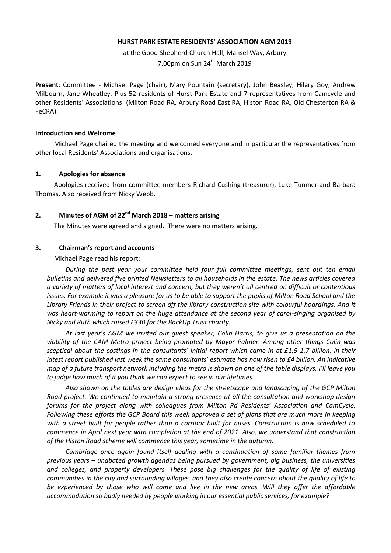### **HURST PARK ESTATE RESIDENTS' ASSOCIATION AGM 2019**

at the Good Shepherd Church Hall, Mansel Way, Arbury 7.00pm on Sun  $24<sup>th</sup>$  March 2019

**Present**: Committee - Michael Page (chair), Mary Pountain (secretary), John Beasley, Hilary Goy, Andrew Milbourn, Jane Wheatley. Plus 52 residents of Hurst Park Estate and 7 representatives from Camcycle and other Residents' Associations: (Milton Road RA, Arbury Road East RA, Histon Road RA, Old Chesterton RA & FeCRA).

#### **Introduction and Welcome**

Michael Page chaired the meeting and welcomed everyone and in particular the representatives from other local Residents' Associations and organisations.

#### **1. Apologies for absence**

Apologies received from committee members Richard Cushing (treasurer), Luke Tunmer and Barbara Thomas. Also received from Nicky Webb.

# **2. Minutes of AGM of 22nd March 2018 – matters arising**

The Minutes were agreed and signed. There were no matters arising.

### **3. Chairman's report and accounts**

Michael Page read his report:

*During the past year your committee held four full committee meetings, sent out ten email bulletins and delivered five printed Newsletters to all households in the estate. The news articles covered a variety of matters of local interest and concern, but they weren't all centred on difficult or contentious issues. For example it was a pleasure for us to be able to support the pupils of Milton Road School and the Library Friends in their project to screen off the library construction site with colourful hoardings. And it was heart-warming to report on the huge attendance at the second year of carol-singing organised by Nicky and Ruth which raised £330 for the BackUp Trust charity.*

*At last year's AGM we invited our guest speaker, Colin Harris, to give us a presentation on the viability of the CAM Metro project being promoted by Mayor Palmer. Among other things Colin was sceptical about the costings in the consultants' initial report which came in at £1.5-1.7 billion. In their latest report published last week the same consultants' estimate has now risen to £4 billion. An indicative map of a future transport network including the metro is shown on one of the table displays. I'll leave you to judge how much of it you think we can expect to see in our lifetimes.*

*Also shown on the tables are design ideas for the streetscape and landscaping of the GCP Milton Road project. We continued to maintain a strong presence at all the consultation and workshop design forums for the project along with colleagues from Milton Rd Residents' Association and CamCycle. Following these efforts the GCP Board this week approved a set of plans that are much more in keeping with a street built for people rather than a corridor built for buses. Construction is now scheduled to commence in April next year with completion at the end of 2021. Also, we understand that construction of the Histon Road scheme will commence this year, sometime in the autumn.*

*Cambridge once again found itself dealing with a continuation of some familiar themes from previous years – unabated growth agendas being pursued by government, big business, the universities and colleges, and property developers. These pose big challenges for the quality of life of existing communities in the city and surrounding villages, and they also create concern about the quality of life to be experienced by those who will come and live in the new areas. Will they offer the affordable accommodation so badly needed by people working in our essential public services, for example?*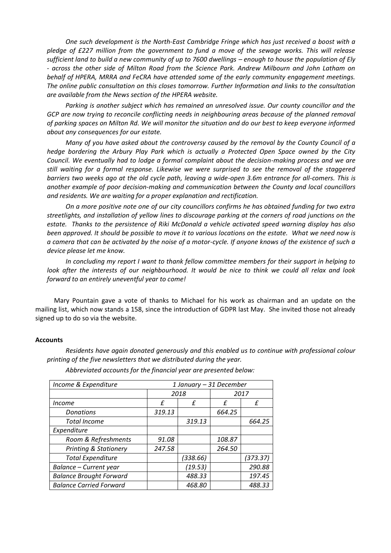*One such development is the North-East Cambridge Fringe which has just received a boost with a pledge of £227 million from the government to fund a move of the sewage works. This will release sufficient land to build a new community of up to 7600 dwellings – enough to house the population of Ely - across the other side of Milton Road from the Science Park. Andrew Milbourn and John Latham on behalf of HPERA, MRRA and FeCRA have attended some of the early community engagement meetings. The online public consultation on this closes tomorrow. Further Information and links to the consultation are available from the News section of the HPERA website.*

*Parking is another subject which has remained an unresolved issue. Our county councillor and the*  GCP are now trying to reconcile conflicting needs in neighbouring areas because of the planned removal *of parking spaces on Milton Rd. We will monitor the situation and do our best to keep everyone informed about any consequences for our estate.*

*Many of you have asked about the controversy caused by the removal by the County Council of a hedge bordering the Arbury Play Park which is actually a Protected Open Space owned by the City Council. We eventually had to lodge a formal complaint about the decision-making process and we are still waiting for a formal response. Likewise we were surprised to see the removal of the staggered barriers two weeks ago at the old cycle path, leaving a wide-open 3.6m entrance for all-comers. This is another example of poor decision-making and communication between the County and local councillors and residents. We are waiting for a proper explanation and rectification.*

*On a more positive note one of our city councillors confirms he has obtained funding for two extra streetlights, and installation of yellow lines to discourage parking at the corners of road junctions on the estate. Thanks to the persistence of Riki McDonald a vehicle activated speed warning display has also been approved. It should be possible to move it to various locations on the estate. What we need now is a camera that can be activated by the noise of a motor-cycle. If anyone knows of the existence of such a device please let me know.*

*In concluding my report I want to thank fellow committee members for their support in helping to look after the interests of our neighbourhood. It would be nice to think we could all relax and look forward to an entirely uneventful year to come!*

Mary Pountain gave a vote of thanks to Michael for his work as chairman and an update on the mailing list, which now stands a 158, since the introduction of GDPR last May. She invited those not already signed up to do so via the website.

### **Accounts**

*Residents have again donated generously and this enabled us to continue with professional colour printing of the five newsletters that we distributed during the year.*

| Income & Expenditure             | 1 January - 31 December |          |        |          |
|----------------------------------|-------------------------|----------|--------|----------|
|                                  | 2018                    |          | 2017   |          |
| <i>Income</i>                    | f                       | f        | f      | f        |
| <b>Donations</b>                 | 319.13                  |          | 664.25 |          |
| <b>Total Income</b>              |                         | 319.13   |        | 664.25   |
| Expenditure                      |                         |          |        |          |
| Room & Refreshments              | 91.08                   |          | 108.87 |          |
| <b>Printing &amp; Stationery</b> | 247.58                  |          | 264.50 |          |
| <b>Total Expenditure</b>         |                         | (338.66) |        | (373.37) |
| Balance - Current year           |                         | (19.53)  |        | 290.88   |
| <b>Balance Brought Forward</b>   |                         | 488.33   |        | 197.45   |
| <b>Balance Carried Forward</b>   |                         | 468.80   |        | 488.33   |

*Abbreviated accounts for the financial year are presented below:*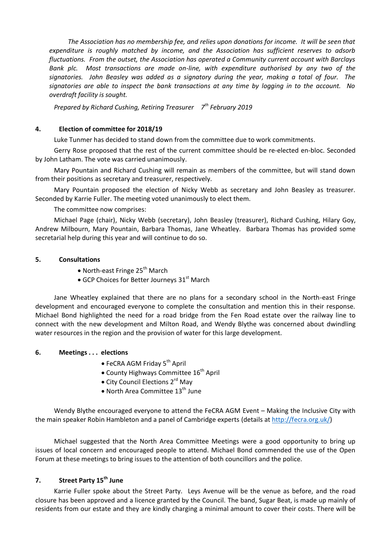*The Association has no membership fee, and relies upon donations for income. It will be seen that expenditure is roughly matched by income, and the Association has sufficient reserves to adsorb fluctuations. From the outset, the Association has operated a Community current account with Barclays Bank plc. Most transactions are made on-line, with expenditure authorised by any two of the signatories. John Beasley was added as a signatory during the year, making a total of four. The signatories are able to inspect the bank transactions at any time by logging in to the account. No overdraft facility is sought.*

*Prepared by Richard Cushing, Retiring Treasurer 7 th February 2019*

## **4. Election of committee for 2018/19**

Luke Tunmer has decided to stand down from the committee due to work commitments.

Gerry Rose proposed that the rest of the current committee should be re-elected en-bloc. Seconded by John Latham. The vote was carried unanimously.

Mary Pountain and Richard Cushing will remain as members of the committee, but will stand down from their positions as secretary and treasurer, respectively.

Mary Pountain proposed the election of Nicky Webb as secretary and John Beasley as treasurer. Seconded by Karrie Fuller. The meeting voted unanimously to elect them.

The committee now comprises:

Michael Page (chair), Nicky Webb (secretary), John Beasley (treasurer), Richard Cushing, Hilary Goy, Andrew Milbourn, Mary Pountain, Barbara Thomas, Jane Wheatley. Barbara Thomas has provided some secretarial help during this year and will continue to do so.

## **5. Consultations**

- $\bullet$  North-east Fringe 25<sup>th</sup> March
- $\bullet$  GCP Choices for Better Journeys 31<sup>st</sup> March

Jane Wheatley explained that there are no plans for a secondary school in the North-east Fringe development and encouraged everyone to complete the consultation and mention this in their response. Michael Bond highlighted the need for a road bridge from the Fen Road estate over the railway line to connect with the new development and Milton Road, and Wendy Blythe was concerned about dwindling water resources in the region and the provision of water for this large development.

## **6. Meetings . . . elections**

- $\bullet$  FeCRA AGM Friday 5<sup>th</sup> April
- County Highways Committee 16<sup>th</sup> April
- City Council Elections 2<sup>rd</sup> May
- North Area Committee  $13<sup>th</sup>$  June

Wendy Blythe encouraged everyone to attend the FeCRA AGM Event – Making the Inclusive City with the main speaker Robin Hambleton and a panel of Cambridge experts (details at [http://fecra.org.uk/\)](http://fecra.org.uk/)

Michael suggested that the North Area Committee Meetings were a good opportunity to bring up issues of local concern and encouraged people to attend. Michael Bond commended the use of the Open Forum at these meetings to bring issues to the attention of both councillors and the police.

# **7. Street Party 15th June**

Karrie Fuller spoke about the Street Party. Leys Avenue will be the venue as before, and the road closure has been approved and a licence granted by the Council. The band, Sugar Beat, is made up mainly of residents from our estate and they are kindly charging a minimal amount to cover their costs. There will be